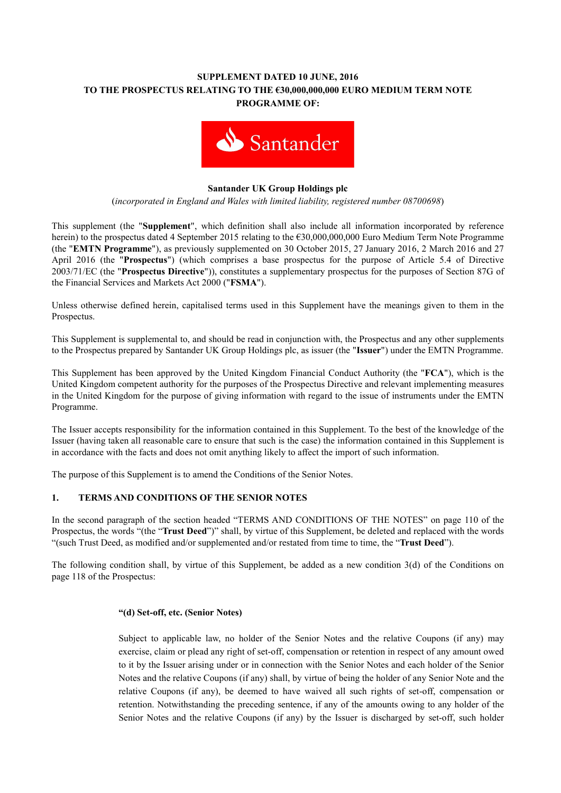# **SUPPLEMENT DATED 10 JUNE, 2016 TO THE PROSPECTUS RELATING TO THE €30,000,000,000 EURO MEDIUM TERM NOTE PROGRAMME OF:**



## **Santander UK Group Holdings plc**

(*incorporated in England and Wales with limited liability, registered number 08700698*)

This supplement (the "**Supplement**", which definition shall also include all information incorporated by reference herein) to the prospectus dated 4 September 2015 relating to the €30,000,000,000 Euro Medium Term Note Programme (the "**EMTN Programme**"), as previously supplemented on 30 October 2015, 27 January 2016, 2 March 2016 and 27 April 2016 (the "**Prospectus**") (which comprises a base prospectus for the purpose of Article 5.4 of Directive 2003/71/EC (the "**Prospectus Directive**")), constitutes a supplementary prospectus for the purposes of Section 87G of the Financial Services and Markets Act 2000 ("**FSMA**").

Unless otherwise defined herein, capitalised terms used in this Supplement have the meanings given to them in the Prospectus.

This Supplement is supplemental to, and should be read in conjunction with, the Prospectus and any other supplements to the Prospectus prepared by Santander UK Group Holdings plc, as issuer (the "**Issuer**") under the EMTN Programme.

This Supplement has been approved by the United Kingdom Financial Conduct Authority (the "**FCA**"), which is the United Kingdom competent authority for the purposes of the Prospectus Directive and relevant implementing measures in the United Kingdom for the purpose of giving information with regard to the issue of instruments under the EMTN Programme.

The Issuer accepts responsibility for the information contained in this Supplement. To the best of the knowledge of the Issuer (having taken all reasonable care to ensure that such is the case) the information contained in this Supplement is in accordance with the facts and does not omit anything likely to affect the import of such information.

The purpose of this Supplement is to amend the Conditions of the Senior Notes.

## **1. TERMS AND CONDITIONS OF THE SENIOR NOTES**

In the second paragraph of the section headed "TERMS AND CONDITIONS OF THE NOTES" on page 110 of the Prospectus, the words "(the "**Trust Deed**")" shall, by virtue of this Supplement, be deleted and replaced with the words "(such Trust Deed, as modified and/or supplemented and/or restated from time to time, the "**Trust Deed**").

The following condition shall, by virtue of this Supplement, be added as a new condition 3(d) of the Conditions on page 118 of the Prospectus:

### **"(d) Set-off, etc. (Senior Notes)**

Subject to applicable law, no holder of the Senior Notes and the relative Coupons (if any) may exercise, claim or plead any right of set-off, compensation or retention in respect of any amount owed to it by the Issuer arising under or in connection with the Senior Notes and each holder of the Senior Notes and the relative Coupons (if any) shall, by virtue of being the holder of any Senior Note and the relative Coupons (if any), be deemed to have waived all such rights of set-off, compensation or retention. Notwithstanding the preceding sentence, if any of the amounts owing to any holder of the Senior Notes and the relative Coupons (if any) by the Issuer is discharged by set-off, such holder